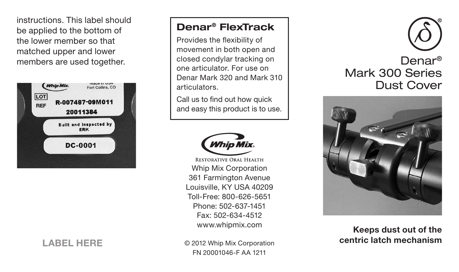instructions. This label should be applied to the bottom of the lower member so that matched upper and lower members are used together.



## Denar® FlexTrack

Provides the flexibility of movement in both open and closed condylar tracking on one articulator. For use on Denar Mark 320 and Mark 310 articulators.

Call us to find out how quick and easy this product is to use.



**RESTORATIVE ORAL HEALTH** Whip Mix Corporation 361 Farmington Avenue Louisville, KY USA 40209 Toll-Free: 800-626-5651 Phone: 502-637-1451 Fax: 502-634-4512 www.whipmix.com

LABEL HERE

© 2012 Whip Mix Corporation FN 20001046-F AA 1211





Keeps dust out of the centric latch mechanism